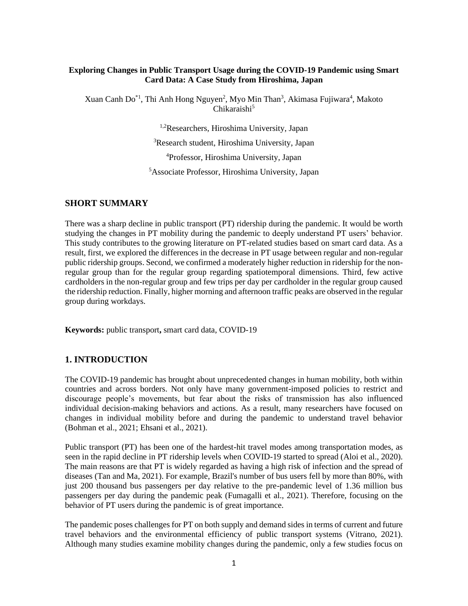### **Exploring Changes in Public Transport Usage during the COVID-19 Pandemic using Smart Card Data: A Case Study from Hiroshima, Japan**

Xuan Canh Do<sup>\*1</sup>, Thi Anh Hong Nguyen<sup>2</sup>, Myo Min Than<sup>3</sup>, Akimasa Fujiwara<sup>4</sup>, Makoto Chikaraishi<sup>5</sup>

1,2Researchers, Hiroshima University, Japan

<sup>3</sup>Research student, Hiroshima University, Japan

<sup>4</sup>Professor, Hiroshima University, Japan

<sup>5</sup>Associate Professor, Hiroshima University, Japan

#### **SHORT SUMMARY**

There was a sharp decline in public transport (PT) ridership during the pandemic. It would be worth studying the changes in PT mobility during the pandemic to deeply understand PT users' behavior. This study contributes to the growing literature on PT-related studies based on smart card data. As a result, first, we explored the differences in the decrease in PT usage between regular and non-regular public ridership groups. Second, we confirmed a moderately higher reduction in ridership for the nonregular group than for the regular group regarding spatiotemporal dimensions. Third, few active cardholders in the non-regular group and few trips per day per cardholder in the regular group caused the ridership reduction. Finally, higher morning and afternoon traffic peaks are observed in the regular group during workdays.

**Keywords:** public transport**,** smart card data, COVID-19

### **1. INTRODUCTION**

The COVID-19 pandemic has brought about unprecedented changes in human mobility, both within countries and across borders. Not only have many government-imposed policies to restrict and discourage people's movements, but fear about the risks of transmission has also influenced individual decision-making behaviors and actions. As a result, many researchers have focused on changes in individual mobility before and during the pandemic to understand travel behavior [\(Bohman et al., 2021;](#page-6-0) [Ehsani et al., 2021\)](#page-6-1).

Public transport (PT) has been one of the hardest-hit travel modes among transportation modes, as seen in the rapid decline in PT ridership levels when COVID-19 started to spread [\(Aloi et al., 2020\)](#page-6-2). The main reasons are that PT is widely regarded as having a high risk of infection and the spread of diseases [\(Tan and Ma, 2021\)](#page-6-3). For example, Brazil's number of bus users fell by more than 80%, with just 200 thousand bus passengers per day relative to the pre-pandemic level of 1.36 million bus passengers per day during the pandemic peak [\(Fumagalli et al., 2021\)](#page-6-4). Therefore, focusing on the behavior of PT users during the pandemic is of great importance.

The pandemic poses challenges for PT on both supply and demand sides in terms of current and future travel behaviors and the environmental efficiency of public transport systems [\(Vitrano, 2021\)](#page-7-0). Although many studies examine mobility changes during the pandemic, only a few studies focus on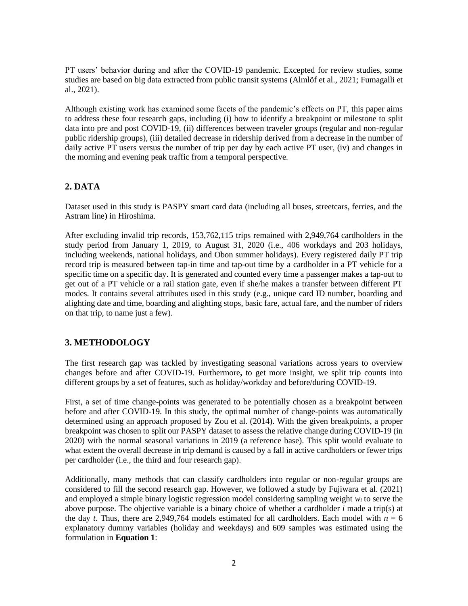PT users' behavior during and after the COVID-19 pandemic. Excepted for review studies, some studies are based on big data extracted from public transit systems [\(Almlöf et al., 2021;](#page-6-5) [Fumagalli et](#page-6-4)  [al., 2021\)](#page-6-4).

Although existing work has examined some facets of the pandemic's effects on PT, this paper aims to address these four research gaps, including (i) how to identify a breakpoint or milestone to split data into pre and post COVID-19, (ii) differences between traveler groups (regular and non-regular public ridership groups), (iii) detailed decrease in ridership derived from a decrease in the number of daily active PT users versus the number of trip per day by each active PT user, (iv) and changes in the morning and evening peak traffic from a temporal perspective.

# **2. DATA**

Dataset used in this study is PASPY smart card data (including all buses, streetcars, ferries, and the Astram line) in Hiroshima.

After excluding invalid trip records, 153,762,115 trips remained with 2,949,764 cardholders in the study period from January 1, 2019, to August 31, 2020 (i.e., 406 workdays and 203 holidays, including weekends, national holidays, and Obon summer holidays). Every registered daily PT trip record trip is measured between tap-in time and tap-out time by a cardholder in a PT vehicle for a specific time on a specific day. It is generated and counted every time a passenger makes a tap-out to get out of a PT vehicle or a rail station gate, even if she/he makes a transfer between different PT modes. It contains several attributes used in this study (e.g., unique card ID number, boarding and alighting date and time, boarding and alighting stops, basic fare, actual fare, and the number of riders on that trip, to name just a few).

# **3. METHODOLOGY**

The first research gap was tackled by investigating seasonal variations across years to overview changes before and after COVID-19. Furthermore**,** to get more insight, we split trip counts into different groups by a set of features, such as holiday/workday and before/during COVID-19.

First, a set of time change-points was generated to be potentially chosen as a breakpoint between before and after COVID-19. In this study, the optimal number of change-points was automatically determined using an approach proposed by [Zou et al. \(2014\).](#page-7-1) With the given breakpoints, a proper breakpoint was chosen to split our PASPY dataset to assess the relative change during COVID-19 (in 2020) with the normal seasonal variations in 2019 (a reference base). This split would evaluate to what extent the overall decrease in trip demand is caused by a fall in active cardholders or fewer trips per cardholder (i.e., the third and four research gap).

Additionally, many methods that can classify cardholders into regular or non-regular groups are considered to fill the second research gap. However, we followed a study by [Fujiwara et al. \(2021\)](#page-6-6) and employed a simple binary logistic regression model considering sampling weight *w<sup>i</sup>* to serve the above purpose. The objective variable is a binary choice of whether a cardholder *i* made a trip(s) at the day *t*. Thus, there are 2,949,764 models estimated for all cardholders. Each model with  $n = 6$ explanatory dummy variables (holiday and weekdays) and 609 samples was estimated using the formulation in **Equation 1**: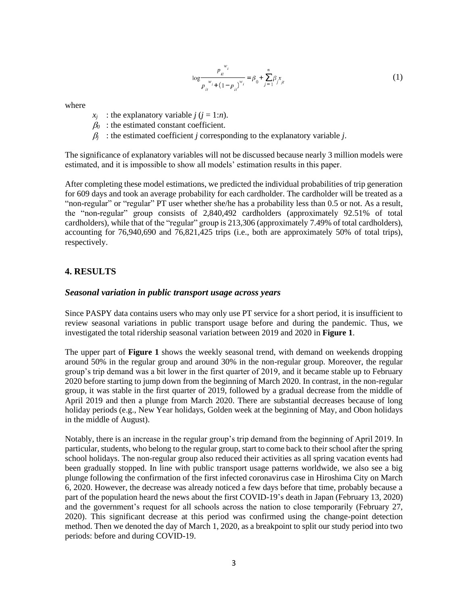$$
\log \frac{p_{it}^{w_i}}{p_{it}^{w_i} + (1 - p_{it})^{w_i}} = \beta_0 + \sum_{j=1}^{n} \beta_j x_{jt}
$$
 (1)

where

- $x_i$  : the explanatory variable  $j$  ( $j = 1:n$ ).
- $\beta_0$ : the estimated constant coefficient.
- $\beta$  : the estimated coefficient *j* corresponding to the explanatory variable *j*.

The significance of explanatory variables will not be discussed because nearly 3 million models were estimated, and it is impossible to show all models' estimation results in this paper.

After completing these model estimations, we predicted the individual probabilities of trip generation for 609 days and took an average probability for each cardholder. The cardholder will be treated as a "non-regular" or "regular" PT user whether she/he has a probability less than 0.5 or not. As a result, the "non-regular" group consists of 2,840,492 cardholders (approximately 92.51% of total cardholders), while that of the "regular" group is 213,306 (approximately 7.49% of total cardholders), accounting for 76,940,690 and 76,821,425 trips (i.e., both are approximately 50% of total trips), respectively.

## **4. RESULTS**

#### *Seasonal variation in public transport usage across years*

Since PASPY data contains users who may only use PT service for a short period, it is insufficient to review seasonal variations in public transport usage before and during the pandemic. Thus, we investigated the total ridership seasonal variation between 2019 and 2020 in **[Figure 1](#page-3-0)**.

The upper part of **[Figure 1](#page-3-0)** shows the weekly seasonal trend, with demand on weekends dropping around 50% in the regular group and around 30% in the non-regular group. Moreover, the regular group's trip demand was a bit lower in the first quarter of 2019, and it became stable up to February 2020 before starting to jump down from the beginning of March 2020. In contrast, in the non-regular group, it was stable in the first quarter of 2019, followed by a gradual decrease from the middle of April 2019 and then a plunge from March 2020. There are substantial decreases because of long holiday periods (e.g., New Year holidays, Golden week at the beginning of May, and Obon holidays in the middle of August).

Notably, there is an increase in the regular group's trip demand from the beginning of April 2019. In particular, students, who belong to the regular group, start to come back to their school after the spring school holidays. The non-regular group also reduced their activities as all spring vacation events had been gradually stopped. In line with public transport usage patterns worldwide, we also see a big plunge following the confirmation of the first infected coronavirus case in Hiroshima City on March 6, 2020. However, the decrease was already noticed a few days before that time, probably because a part of the population heard the news about the first COVID-19's death in Japan (February 13, 2020) and the government's request for all schools across the nation to close temporarily (February 27, 2020). This significant decrease at this period was confirmed using the change-point detection method. Then we denoted the day of March 1, 2020, as a breakpoint to split our study period into two periods: before and during COVID-19.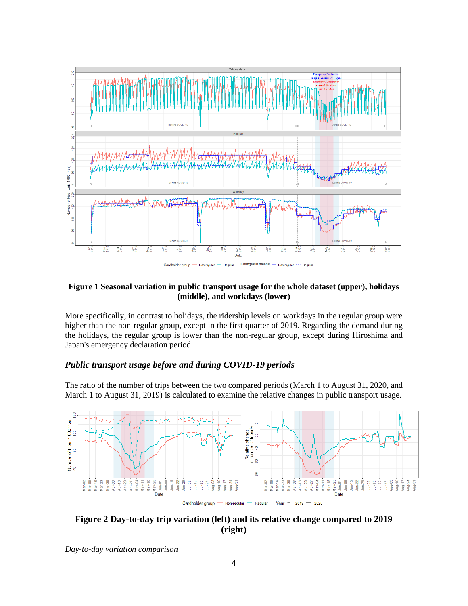

#### <span id="page-3-0"></span>**Figure 1 Seasonal variation in public transport usage for the whole dataset (upper), holidays (middle), and workdays (lower)**

More specifically, in contrast to holidays, the ridership levels on workdays in the regular group were higher than the non-regular group, except in the first quarter of 2019. Regarding the demand during the holidays, the regular group is lower than the non-regular group, except during Hiroshima and Japan's emergency declaration period.

## *Public transport usage before and during COVID-19 periods*

The ratio of the number of trips between the two compared periods (March 1 to August 31, 2020, and March 1 to August 31, 2019) is calculated to examine the relative changes in public transport usage.



<span id="page-3-1"></span>

*Day-to-day variation comparison*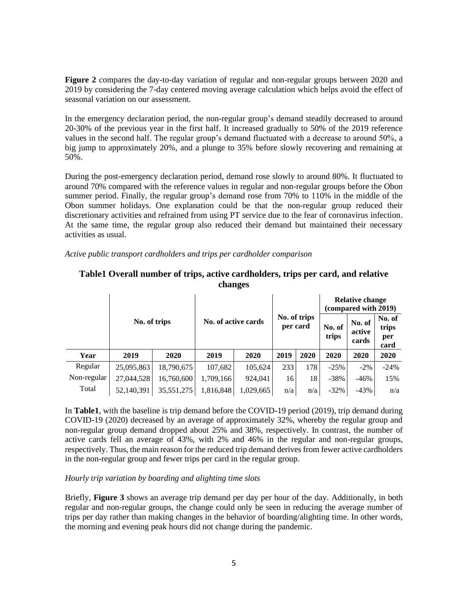**[Figure 2](#page-3-1)** compares the day-to-day variation of regular and non-regular groups between 2020 and 2019 by considering the 7-day centered moving average calculation which helps avoid the effect of seasonal variation on our assessment.

In the emergency declaration period, the non-regular group's demand steadily decreased to around 20-30% of the previous year in the first half. It increased gradually to 50% of the 2019 reference values in the second half. The regular group's demand fluctuated with a decrease to around 50%, a big jump to approximately 20%, and a plunge to 35% before slowly recovering and remaining at 50%.

During the post-emergency declaration period, demand rose slowly to around 80%. It fluctuated to around 70% compared with the reference values in regular and non-regular groups before the Obon summer period. Finally, the regular group's demand rose from 70% to 110% in the middle of the Obon summer holidays. One explanation could be that the non-regular group reduced their discretionary activities and refrained from using PT service due to the fear of coronavirus infection. At the same time, the regular group also reduced their demand but maintained their necessary activities as usual.

*Active public transport cardholders and trips per cardholder comparison*

|             | No. of trips |            | No. of active cards |           | No. of trips<br>per card |      | <b>Relative change</b><br>(compared with 2019) |                           |                                |
|-------------|--------------|------------|---------------------|-----------|--------------------------|------|------------------------------------------------|---------------------------|--------------------------------|
|             |              |            |                     |           |                          |      | No. of<br>trips                                | No. of<br>active<br>cards | No. of<br>trips<br>per<br>card |
| Year        | 2019         | 2020       | 2019                | 2020      | 2019                     | 2020 | 2020                                           | 2020                      | 2020                           |
| Regular     | 25,095,863   | 18,790,675 | 107,682             | 105,624   | 233                      | 178  | $-25%$                                         | $-2\%$                    | $-24%$                         |
| Non-regular | 27,044,528   | 16,760,600 | 1,709,166           | 924,041   | 16                       | 18   | $-38%$                                         | $-46%$                    | 15%                            |
| Total       | 52,140,391   | 35,551,275 | 1,816,848           | 1,029,665 | n/a                      | n/a  | $-32%$                                         | $-43%$                    | n/a                            |

### <span id="page-4-0"></span>**Table1 Overall number of trips, active cardholders, trips per card, and relative changes**

In **[Table1](#page-4-0)**, with the baseline is trip demand before the COVID-19 period (2019), trip demand during COVID-19 (2020) decreased by an average of approximately 32%, whereby the regular group and non-regular group demand dropped about 25% and 38%, respectively. In contrast, the number of active cards fell an average of 43%, with 2% and 46% in the regular and non-regular groups, respectively. Thus, the main reason for the reduced trip demand derivesfrom fewer active cardholders in the non-regular group and fewer trips per card in the regular group.

#### *Hourly trip variation by boarding and alighting time slots*

Briefly, **[Figure 3](#page-5-0)** shows an average trip demand per day per hour of the day. Additionally, in both regular and non-regular groups, the change could only be seen in reducing the average number of trips per day rather than making changes in the behavior of boarding/alighting time. In other words, the morning and evening peak hours did not change during the pandemic.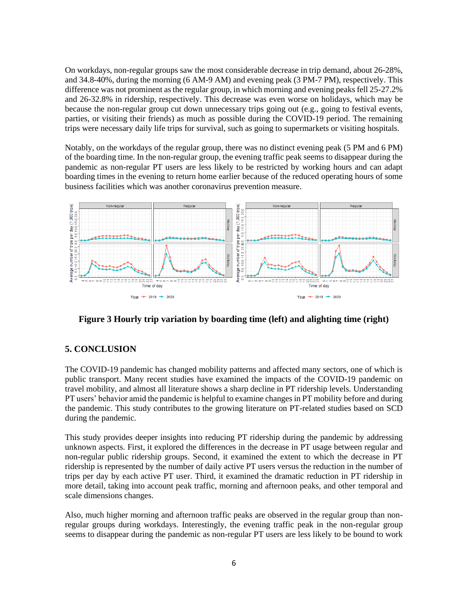On workdays, non-regular groups saw the most considerable decrease in trip demand, about 26-28%, and 34.8-40%, during the morning (6 AM-9 AM) and evening peak (3 PM-7 PM), respectively. This difference was not prominent as the regular group, in which morning and evening peaks fell 25-27.2% and 26-32.8% in ridership, respectively. This decrease was even worse on holidays, which may be because the non-regular group cut down unnecessary trips going out (e.g., going to festival events, parties, or visiting their friends) as much as possible during the COVID-19 period. The remaining trips were necessary daily life trips for survival, such as going to supermarkets or visiting hospitals.

Notably, on the workdays of the regular group, there was no distinct evening peak (5 PM and 6 PM) of the boarding time. In the non-regular group, the evening traffic peak seems to disappear during the pandemic as non-regular PT users are less likely to be restricted by working hours and can adapt boarding times in the evening to return home earlier because of the reduced operating hours of some business facilities which was another coronavirus prevention measure.



<span id="page-5-0"></span>**Figure 3 Hourly trip variation by boarding time (left) and alighting time (right)**

# **5. CONCLUSION**

The COVID-19 pandemic has changed mobility patterns and affected many sectors, one of which is public transport. Many recent studies have examined the impacts of the COVID-19 pandemic on travel mobility, and almost all literature shows a sharp decline in PT ridership levels. Understanding PT users' behavior amid the pandemic is helpful to examine changes in PT mobility before and during the pandemic. This study contributes to the growing literature on PT-related studies based on SCD during the pandemic.

This study provides deeper insights into reducing PT ridership during the pandemic by addressing unknown aspects. First, it explored the differences in the decrease in PT usage between regular and non-regular public ridership groups. Second, it examined the extent to which the decrease in PT ridership is represented by the number of daily active PT users versus the reduction in the number of trips per day by each active PT user. Third, it examined the dramatic reduction in PT ridership in more detail, taking into account peak traffic, morning and afternoon peaks, and other temporal and scale dimensions changes.

Also, much higher morning and afternoon traffic peaks are observed in the regular group than nonregular groups during workdays. Interestingly, the evening traffic peak in the non-regular group seems to disappear during the pandemic as non-regular PT users are less likely to be bound to work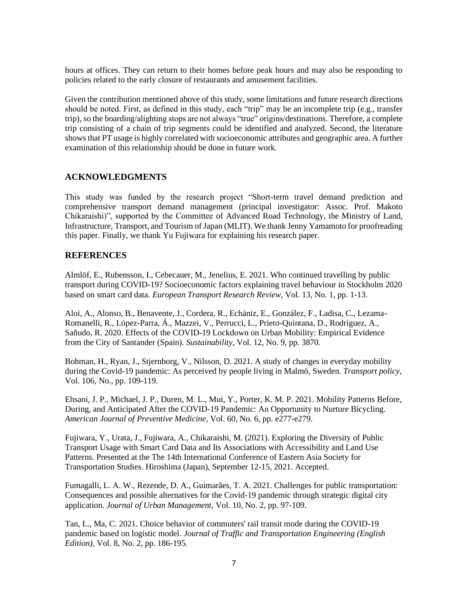hours at offices. They can return to their homes before peak hours and may also be responding to policies related to the early closure of restaurants and amusement facilities.

Given the contribution mentioned above of this study, some limitations and future research directions should be noted. First, as defined in this study, each "trip" may be an incomplete trip (e.g., transfer trip), so the boarding/alighting stops are not always "true" origins/destinations. Therefore, a complete trip consisting of a chain of trip segments could be identified and analyzed. Second, the literature shows that PT usage is highly correlated with socioeconomic attributes and geographic area. A further examination of this relationship should be done in future work.

### **ACKNOWLEDGMENTS**

This study was funded by the research project "Short-term travel demand prediction and comprehensive transport demand management (principal investigator: Assoc. Prof. Makoto Chikaraishi)", supported by the Committee of Advanced Road Technology, the Ministry of Land, Infrastructure, Transport, and Tourism of Japan (MLIT). We thank Jenny Yamamoto for proofreading this paper. Finally, we thank Yu Fujiwara for explaining his research paper.

#### **REFERENCES**

<span id="page-6-5"></span>Almlöf, E., Rubensson, I., Cebecauer, M., Jenelius, E. 2021. Who continued travelling by public transport during COVID-19? Socioeconomic factors explaining travel behaviour in Stockholm 2020 based on smart card data. *European Transport Research Review*, Vol. 13, No. 1, pp. 1-13.

<span id="page-6-2"></span>Aloi, A., Alonso, B., Benavente, J., Cordera, R., Echániz, E., González, F., Ladisa, C., Lezama-Romanelli, R., López-Parra, Á., Mazzei, V., Perrucci, L., Prieto-Quintana, D., Rodríguez, A., Sañudo, R. 2020. Effects of the COVID-19 Lockdown on Urban Mobility: Empirical Evidence from the City of Santander (Spain). *Sustainability*, Vol. 12, No. 9, pp. 3870.

<span id="page-6-0"></span>Bohman, H., Ryan, J., Stjernborg, V., Nilsson, D. 2021. A study of changes in everyday mobility during the Covid-19 pandemic: As perceived by people living in Malmö, Sweden. *Transport policy*, Vol. 106, No., pp. 109-119.

<span id="page-6-1"></span>Ehsani, J. P., Michael, J. P., Duren, M. L., Mui, Y., Porter, K. M. P. 2021. Mobility Patterns Before, During, and Anticipated After the COVID-19 Pandemic: An Opportunity to Nurture Bicycling. *American Journal of Preventive Medicine*, Vol. 60, No. 6, pp. e277-e279.

<span id="page-6-6"></span>Fujiwara, Y., Urata, J., Fujiwara, A., Chikaraishi, M. (2021). Exploring the Diversity of Public Transport Usage with Smart Card Data and Its Associations with Accessibility and Land Use Patterns. Presented at the The 14th International Conference of Eastern Asia Society for Transportation Studies. Hiroshima (Japan), September 12-15, 2021. Accepted.

<span id="page-6-4"></span>Fumagalli, L. A. W., Rezende, D. A., Guimarães, T. A. 2021. Challenges for public transportation: Consequences and possible alternatives for the Covid-19 pandemic through strategic digital city application. *Journal of Urban Management*, Vol. 10, No. 2, pp. 97-109.

<span id="page-6-3"></span>Tan, L., Ma, C. 2021. Choice behavior of commuters' rail transit mode during the COVID-19 pandemic based on logistic model. *Journal of Traffic and Transportation Engineering (English Edition)*, Vol. 8, No. 2, pp. 186-195.